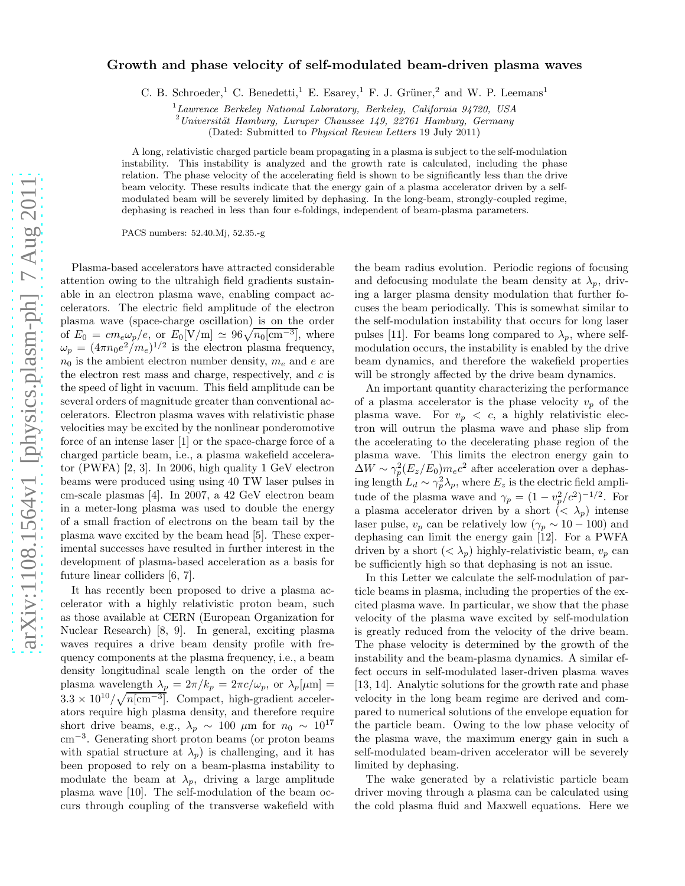## Growth and phase velocity of self-modulated beam-driven plasma waves

C. B. Schroeder,<sup>1</sup> C. Benedetti,<sup>1</sup> E. Esarey,<sup>1</sup> F. J. Grüner,<sup>2</sup> and W. P. Leemans<sup>1</sup>

 $1$ Lawrence Berkeley National Laboratory, Berkeley, California 94720, USA

 $2$ Universität Hamburg, Luruper Chaussee 149, 22761 Hamburg, Germany

(Dated: Submitted to Physical Review Letters 19 July 2011)

A long, relativistic charged particle beam propagating in a plasma is subject to the self-modulation instability. This instability is analyzed and the growth rate is calculated, including the phase relation. The phase velocity of the accelerating field is shown to be significantly less than the drive beam velocity. These results indicate that the energy gain of a plasma accelerator driven by a selfmodulated beam will be severely limited by dephasing. In the long-beam, strongly-coupled regime, dephasing is reached in less than four e-foldings, independent of beam-plasma parameters.

PACS numbers: 52.40.Mj, 52.35.-g

Plasma-based accelerators have attracted considerable attention owing to the ultrahigh field gradients sustainable in an electron plasma wave, enabling compact accelerators. The electric field amplitude of the electron plasma wave (space-charge oscillation) is on the order of  $E_0 = cm_e \omega_p/e$ , or  $E_0[V/m] \simeq 96\sqrt{n_0[\text{cm}^{-3}]}$ , where  $\omega_p = (4\pi n_0 e^2/m_e)^{1/2}$  is the electron plasma frequency,  $n_0$  is the ambient electron number density,  $m_e$  and e are the electron rest mass and charge, respectively, and  $c$  is the speed of light in vacuum. This field amplitude can be several orders of magnitude greater than conventional accelerators. Electron plasma waves with relativistic phase velocities may be excited by the nonlinear ponderomotive force of an intense laser [1] or the space-charge force of a charged particle beam, i.e., a plasma wakefield accelerator (PWFA) [2, 3]. In 2006, high quality 1 GeV electron beams were produced using using 40 TW laser pulses in cm-scale plasmas [4]. In 2007, a 42 GeV electron beam in a meter-long plasma was used to double the energy of a small fraction of electrons on the beam tail by the plasma wave excited by the beam head [5]. These experimental successes have resulted in further interest in the development of plasma-based acceleration as a basis for future linear colliders [6, 7].

It has recently been proposed to drive a plasma accelerator with a highly relativistic proton beam, such as those available at CERN (European Organization for Nuclear Research) [8, 9]. In general, exciting plasma waves requires a drive beam density profile with frequency components at the plasma frequency, i.e., a beam density longitudinal scale length on the order of the plasma wavelength  $\lambda_p = 2\pi/k_p = 2\pi c/\omega_p$ , or  $\lambda_p[\mu m] =$  $3.3 \times 10^{10} / \sqrt{n[\text{cm}^{-3}]}$ . Compact, high-gradient accelerators require high plasma density, and therefore require short drive beams, e.g.,  $\lambda_p \sim 100 \mu m$  for  $n_0 \sim 10^{17}$ cm<sup>−</sup><sup>3</sup> . Generating short proton beams (or proton beams with spatial structure at  $\lambda_p$ ) is challenging, and it has been proposed to rely on a beam-plasma instability to modulate the beam at  $\lambda_p$ , driving a large amplitude plasma wave [10]. The self-modulation of the beam occurs through coupling of the transverse wakefield with

the beam radius evolution. Periodic regions of focusing and defocusing modulate the beam density at  $\lambda_p$ , driving a larger plasma density modulation that further focuses the beam periodically. This is somewhat similar to the self-modulation instability that occurs for long laser pulses [11]. For beams long compared to  $\lambda_p$ , where selfmodulation occurs, the instability is enabled by the drive beam dynamics, and therefore the wakefield properties will be strongly affected by the drive beam dynamics.

An important quantity characterizing the performance of a plasma accelerator is the phase velocity  $v_p$  of the plasma wave. For  $v_p < c$ , a highly relativistic electron will outrun the plasma wave and phase slip from the accelerating to the decelerating phase region of the plasma wave. This limits the electron energy gain to  $\Delta W \sim \gamma_p^2 (E_z/E_0) m_e c^2$  after acceleration over a dephasing length  $L_d \sim \gamma_p^2 \lambda_p$ , where  $E_z$  is the electric field amplitude of the plasma wave and  $\gamma_p = (1 - v_p^2/c^2)^{-1/2}$ . For a plasma accelerator driven by a short  $( $\lambda_p$ )$  intense laser pulse,  $v_p$  can be relatively low ( $\gamma_p \sim 10 - 100$ ) and dephasing can limit the energy gain [12]. For a PWFA driven by a short  $( $\lambda_p$ ) highly-relativistic beam,  $v_p$  can$ be sufficiently high so that dephasing is not an issue.

In this Letter we calculate the self-modulation of particle beams in plasma, including the properties of the excited plasma wave. In particular, we show that the phase velocity of the plasma wave excited by self-modulation is greatly reduced from the velocity of the drive beam. The phase velocity is determined by the growth of the instability and the beam-plasma dynamics. A similar effect occurs in self-modulated laser-driven plasma waves [13, 14]. Analytic solutions for the growth rate and phase velocity in the long beam regime are derived and compared to numerical solutions of the envelope equation for the particle beam. Owing to the low phase velocity of the plasma wave, the maximum energy gain in such a self-modulated beam-driven accelerator will be severely limited by dephasing.

The wake generated by a relativistic particle beam driver moving through a plasma can be calculated using the cold plasma fluid and Maxwell equations. Here we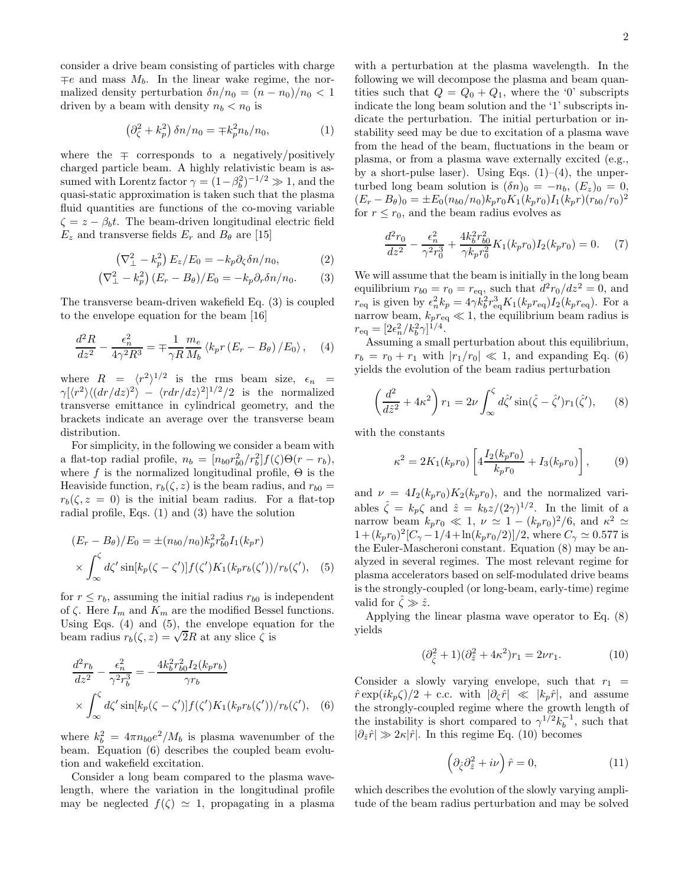consider a drive beam consisting of particles with charge  $\mp e$  and mass  $M_b$ . In the linear wake regime, the normalized density perturbation  $\delta n/n_0 = (n - n_0)/n_0 < 1$ driven by a beam with density  $n_b < n_0$  is

$$
\left(\partial_{\zeta}^{2} + k_{p}^{2}\right)\delta n/n_{0} = \mp k_{p}^{2}n_{b}/n_{0},\tag{1}
$$

where the  $\mp$  corresponds to a negatively/positively charged particle beam. A highly relativistic beam is assumed with Lorentz factor  $\gamma = (1 - \beta_b^2)^{-1/2} \gg 1$ , and the quasi-static approximation is taken such that the plasma fluid quantities are functions of the co-moving variable  $\zeta = z - \beta_b t$ . The beam-driven longitudinal electric field  $E_z$  and transverse fields  $E_r$  and  $B_\theta$  are [15]

$$
\left(\nabla_{\perp}^2 - k_p^2\right) E_z / E_0 = -k_p \partial_\zeta \delta n / n_0,\tag{2}
$$

$$
\left(\nabla_{\perp}^2 - k_p^2\right)(E_r - B_\theta)/E_0 = -k_p \partial_r \delta n/n_0. \tag{3}
$$

The transverse beam-driven wakefield Eq. (3) is coupled to the envelope equation for the beam [16]

$$
\frac{d^2R}{dz^2} - \frac{\epsilon_n^2}{4\gamma^2 R^3} = \mp \frac{1}{\gamma R} \frac{m_e}{M_b} \left\langle k_p r \left( E_r - B_\theta \right) / E_0 \right\rangle, \quad (4)
$$

where  $R = \langle r^2 \rangle^{1/2}$  is the rms beam size,  $\epsilon_n$  =  $\gamma[\langle r^2 \rangle \langle (dr/dz)^2 \rangle - \langle rdr/dz \rangle^2]^{1/2}/2$  is the normalized transverse emittance in cylindrical geometry, and the brackets indicate an average over the transverse beam distribution.

For simplicity, in the following we consider a beam with a flat-top radial profile,  $n_b = [n_{b0}r_{b0}^2/r_b^2]f(\zeta)\Theta(r - r_b)$ , where f is the normalized longitudinal profile,  $\Theta$  is the Heaviside function,  $r_b(\zeta, z)$  is the beam radius, and  $r_{b0} =$  $r_b(\zeta, z = 0)$  is the initial beam radius. For a flat-top radial profile, Eqs. (1) and (3) have the solution

$$
(E_r - B_\theta)/E_0 = \pm (n_{b0}/n_0)k_p^2 r_{b0}^2 I_1(k_p r)
$$
  
 
$$
\times \int_{\infty}^{\zeta} d\zeta' \sin[k_p(\zeta - \zeta')] f(\zeta') K_1(k_p r_b(\zeta'))/r_b(\zeta'), \quad (5)
$$

for  $r \leq r_b$ , assuming the initial radius  $r_{b0}$  is independent of  $\zeta$ . Here  $I_m$  and  $K_m$  are the modified Bessel functions. Using Eqs. (4) and (5), the envelope equation for the beam radius  $r_b(\zeta, z) = \sqrt{2}R$  at any slice  $\zeta$  is

$$
\frac{d^2r_b}{dz^2} - \frac{\epsilon_n^2}{\gamma^2 r_b^3} = -\frac{4k_b^2 r_{b0}^2 I_2(k_p r_b)}{\gamma r_b}
$$

$$
\times \int_{\infty}^{\zeta} d\zeta' \sin[k_p(\zeta - \zeta')] f(\zeta') K_1(k_p r_b(\zeta'))/r_b(\zeta'), \quad (6)
$$

where  $k_b^2 = 4\pi n_{b0}e^2/M_b$  is plasma wavenumber of the beam. Equation (6) describes the coupled beam evolution and wakefield excitation.

Consider a long beam compared to the plasma wavelength, where the variation in the longitudinal profile may be neglected  $f(\zeta) \simeq 1$ , propagating in a plasma

with a perturbation at the plasma wavelength. In the following we will decompose the plasma and beam quantities such that  $Q = Q_0 + Q_1$ , where the '0' subscripts indicate the long beam solution and the '1' subscripts indicate the perturbation. The initial perturbation or instability seed may be due to excitation of a plasma wave from the head of the beam, fluctuations in the beam or plasma, or from a plasma wave externally excited (e.g., by a short-pulse laser). Using Eqs.  $(1)-(4)$ , the unperturbed long beam solution is  $(\delta n)_0 = -n_b$ ,  $(E_z)_0 = 0$ ,  $(E_r - B_\theta)_0 = \pm E_0 (n_{b0}/n_0) k_p r_0 K_1 (k_p r_0) I_1 (k_p r) (r_{b0}/r_0)^2$ for  $r \leq r_0$ , and the beam radius evolves as

$$
\frac{d^2r_0}{dz^2} - \frac{\epsilon_n^2}{\gamma^2 r_0^3} + \frac{4k_b^2 r_{b0}^2}{\gamma k_p r_0^2} K_1(k_p r_0) I_2(k_p r_0) = 0.
$$
 (7)

We will assume that the beam is initially in the long beam equilibrium  $r_{b0} = r_0 = r_{\text{eq}}$ , such that  $d^2r_0/dz^2 = 0$ , and  $r_{\text{eq}}$  is given by  $\epsilon_n^2 k_p = 4\gamma \dot{k}_b^2 r_{\text{eq}}^3 K_1(k_p r_{\text{eq}}) I_2(k_p r_{\text{eq}})$ . For a narrow beam,  $k_p r_{\rm eq} \ll 1$ , the equilibrium beam radius is  $r_{\text{eq}} = [2\epsilon_n^2 / k_b^2 \gamma]^{1/4}.$ 

Assuming a small perturbation about this equilibrium,  $r_b = r_0 + r_1$  with  $|r_1/r_0| \ll 1$ , and expanding Eq. (6) yields the evolution of the beam radius perturbation

$$
\left(\frac{d^2}{d\hat{z}^2} + 4\kappa^2\right) r_1 = 2\nu \int_{\infty}^{\zeta} d\hat{\zeta}' \sin(\hat{\zeta} - \hat{\zeta}') r_1(\hat{\zeta}'), \qquad (8)
$$

with the constants

$$
\kappa^2 = 2K_1(k_p r_0) \left[ 4 \frac{I_2(k_p r_0)}{k_p r_0} + I_3(k_p r_0) \right],\tag{9}
$$

and  $\nu = 4I_2(k_p r_0)K_2(k_p r_0)$ , and the normalized variables  $\hat{\zeta} = k_p \zeta$  and  $\hat{z} = k_b z/(2\gamma)^{1/2}$ . In the limit of a narrow beam  $k_p r_0 \ll 1$ ,  $\nu \simeq 1 - (k_p r_0)^2/6$ , and  $\kappa^2 \simeq$  $1 + (k_p r_0)^2 [C_\gamma - 1/4 + \ln(k_p r_0/2)]/2$ , where  $C_\gamma \simeq 0.577$  is the Euler-Mascheroni constant. Equation (8) may be analyzed in several regimes. The most relevant regime for plasma accelerators based on self-modulated drive beams is the strongly-coupled (or long-beam, early-time) regime valid for  $\hat{\zeta} \gg \hat{z}$ .

Applying the linear plasma wave operator to Eq. (8) yields

$$
(\partial_{\hat{\zeta}}^2 + 1)(\partial_{\hat{z}}^2 + 4\kappa^2)r_1 = 2\nu r_1.
$$
 (10)

Consider a slowly varying envelope, such that  $r_1$  =  $\hat{r} \exp(ik_p \zeta)/2 + \text{c.c.}$  with  $|\partial_{\zeta} \hat{r}| \ll |k_p \hat{r}|$ , and assume the strongly-coupled regime where the growth length of the instability is short compared to  $\gamma^{1/2} k_b^{-1}$ , such that  $|\partial_{\hat{z}}\hat{r}| \gg 2\kappa |\hat{r}|$ . In this regime Eq. (10) becomes

$$
\left(\partial_{\hat{\zeta}}\partial_{\hat{z}}^2 + i\nu\right)\hat{r} = 0,\tag{11}
$$

which describes the evolution of the slowly varying amplitude of the beam radius perturbation and may be solved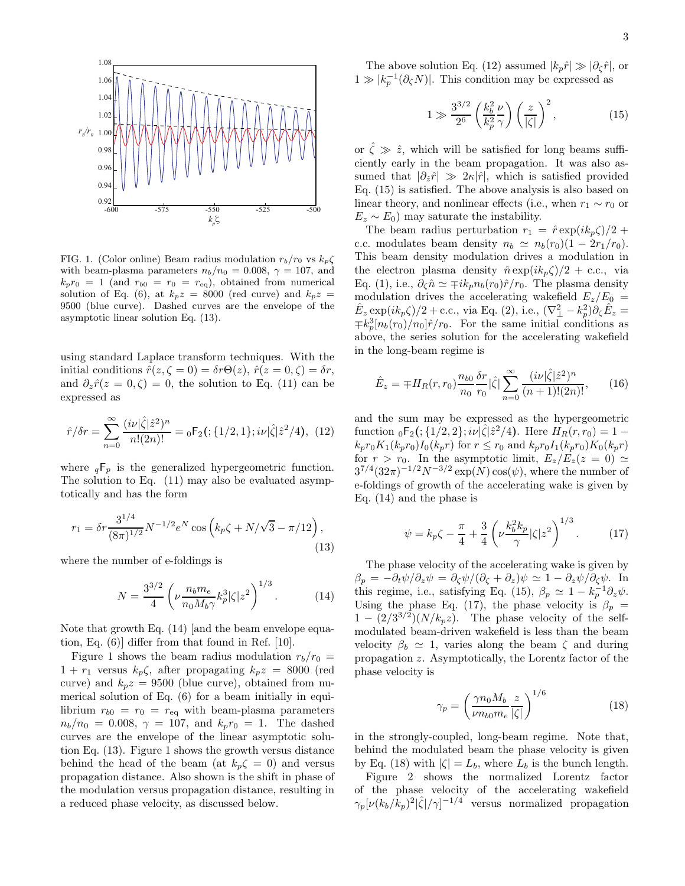

FIG. 1. (Color online) Beam radius modulation  $r_b/r_0$  vs  $k_p\zeta$ with beam-plasma parameters  $n_b/n_0 = 0.008$ ,  $\gamma = 107$ , and  $k_p r_0 = 1$  (and  $r_{b0} = r_0 = r_{eq}$ ), obtained from numerical solution of Eq. (6), at  $k_p z = 8000$  (red curve) and  $k_p z =$ 9500 (blue curve). Dashed curves are the envelope of the asymptotic linear solution Eq. (13).

using standard Laplace transform techniques. With the initial conditions  $\hat{r}(z,\zeta=0) = \delta r \Theta(z)$ ,  $\hat{r}(z=0,\zeta) = \delta r$ , and  $\partial_z \hat{r}(z=0,\zeta) = 0$ , the solution to Eq. (11) can be expressed as

$$
\hat{r}/\delta r = \sum_{n=0}^{\infty} \frac{(i\nu|\hat{\zeta}|\hat{z}^2)^n}{n!(2n)!} = {}_0F_2\left(\frac{1}{2}, 1\right); i\nu|\hat{\zeta}|\hat{z}^2/4\right), \tag{12}
$$

where  $_qF_p$  is the generalized hypergeometric function. The solution to Eq. (11) may also be evaluated asymptotically and has the form

$$
r_1 = \delta r \frac{3^{1/4}}{(8\pi)^{1/2}} N^{-1/2} e^N \cos \left( k_p \zeta + N/\sqrt{3} - \pi/12 \right),\tag{13}
$$

where the number of e-foldings is

$$
N = \frac{3^{3/2}}{4} \left( \nu \frac{n_b m_e}{n_0 M_b \gamma} k_p^3 |\zeta| z^2 \right)^{1/3}.
$$
 (14)

Note that growth Eq. (14) [and the beam envelope equation, Eq. (6)] differ from that found in Ref. [10].

Figure 1 shows the beam radius modulation  $r_b/r_0$  =  $1 + r_1$  versus  $k_p \zeta$ , after propagating  $k_p z = 8000$  (red curve) and  $k_p z = 9500$  (blue curve), obtained from numerical solution of Eq. (6) for a beam initially in equilibrium  $r_{b0} = r_0 = r_{eq}$  with beam-plasma parameters  $n_b/n_0 = 0.008, \gamma = 107, \text{ and } k_p r_0 = 1.$  The dashed curves are the envelope of the linear asymptotic solution Eq. (13). Figure 1 shows the growth versus distance behind the head of the beam (at  $k_p \zeta = 0$ ) and versus propagation distance. Also shown is the shift in phase of the modulation versus propagation distance, resulting in a reduced phase velocity, as discussed below.

The above solution Eq. (12) assumed  $|k_p\hat{r}| \gg |\partial_{\zeta}\hat{r}|$ , or  $1\gg |k_p^{-1}(\partial_\zeta N)|.$  This condition may be expressed as

$$
1 \gg \frac{3^{3/2}}{2^6} \left(\frac{k_b^2}{k_p^2} \frac{\nu}{\gamma}\right) \left(\frac{z}{|\zeta|}\right)^2, \tag{15}
$$

or  $\hat{\zeta} \gg \hat{z}$ , which will be satisfied for long beams sufficiently early in the beam propagation. It was also assumed that  $|\partial_{\hat{z}}\hat{r}| \gg 2\kappa |\hat{r}|$ , which is satisfied provided Eq. (15) is satisfied. The above analysis is also based on linear theory, and nonlinear effects (i.e., when  $r_1 \sim r_0$  or  $E_z \sim E_0$ ) may saturate the instability.

The beam radius perturbation  $r_1 = \hat{r} \exp(ik_p \zeta)/2 +$ c.c. modulates beam density  $n_b \simeq n_b(r_0)(1 - 2r_1/r_0)$ . This beam density modulation drives a modulation in the electron plasma density  $\hat{n} \exp(ik_p \zeta)/2 + \text{c.c.}$ , via Eq. (1), i.e.,  $\partial_{\zeta}\hat{n} \simeq \mp ik_p n_b(r_0)\hat{r}/r_0$ . The plasma density modulation drives the accelerating wakefield  $E_z/E_0 =$  $\hat{E}_z \exp(ik_p\zeta)/2 + \text{c.c.}, \text{ via Eq. (2), i.e., } (\nabla^2_{\perp} - k_p^2)\partial_{\zeta}\hat{E}_z =$  $\mp k_p^3[n_b(r_0)/n_0]\hat{r}/r_0$ . For the same initial conditions as above, the series solution for the accelerating wakefield in the long-beam regime is

$$
\hat{E}_z = \mp H_R(r, r_0) \frac{n_{b0}}{n_0} \frac{\delta r}{r_0} |\hat{\zeta}| \sum_{n=0}^{\infty} \frac{(i\nu |\hat{\zeta}| \hat{z}^2)^n}{(n+1)!(2n)!},
$$
(16)

and the sum may be expressed as the hypergeometric function  ${}_0F_2$  (; {1/2, 2}; iv  $|\hat{\zeta}|\hat{z}^2/4$ ). Here  $H_R(r,r_0) = 1$  $k_p r_0 K_1(k_p r_0) I_0(k_p r)$  for  $r \le r_0$  and  $k_p r_0 I_1(k_p r_0) K_0(k_p r)$ for  $r > r_0$ . In the asymptotic limit,  $E_z/E_z(z=0) \simeq$  $3^{7/4} (32\pi)^{-1/2} N^{-3/2} \exp(N) \cos(\psi)$ , where the number of e-foldings of growth of the accelerating wake is given by Eq. (14) and the phase is

$$
\psi = k_p \zeta - \frac{\pi}{4} + \frac{3}{4} \left( \nu \frac{k_b^2 k_p}{\gamma} |\zeta| z^2 \right)^{1/3}.
$$
 (17)

The phase velocity of the accelerating wake is given by  $\beta_p = -\partial_t \psi / \partial_z \psi = \partial_c \psi / (\partial_c + \partial_z) \psi \simeq 1 - \partial_z \psi / \partial_c \psi$ . In this regime, i.e., satisfying Eq. (15),  $\beta_p \simeq 1 - k_p^{-1} \partial_z \psi$ . Using the phase Eq. (17), the phase velocity is  $\beta_p =$  $1 - (2/3^{3/2}) (N/k_p z)$ . The phase velocity of the selfmodulated beam-driven wakefield is less than the beam velocity  $\beta_b \simeq 1$ , varies along the beam  $\zeta$  and during propagation z. Asymptotically, the Lorentz factor of the phase velocity is

$$
\gamma_p = \left(\frac{\gamma n_0 M_b}{\nu n_{b0} m_e} \frac{z}{|\zeta|}\right)^{1/6} \tag{18}
$$

in the strongly-coupled, long-beam regime. Note that, behind the modulated beam the phase velocity is given by Eq. (18) with  $|\zeta| = L_b$ , where  $L_b$  is the bunch length.

Figure 2 shows the normalized Lorentz factor of the phase velocity of the accelerating wakefield  $\gamma_p[\nu(k_b/k_p)^2|\hat{\zeta}|/\gamma]^{-1/4}$  versus normalized propagation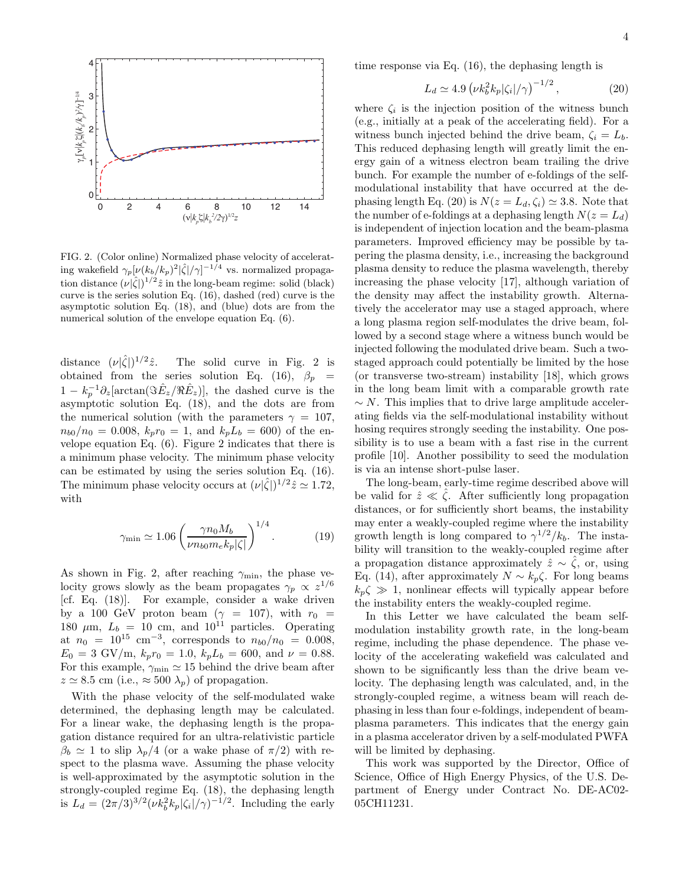

FIG. 2. (Color online) Normalized phase velocity of accelerating wakefield  $\gamma_p[\nu(k_b/k_p)^2|\hat{\zeta}|/\gamma]^{-1/4}$  vs. normalized propagation distance  $(\nu|\hat{\zeta}|)^{1/2}\hat{z}$  in the long-beam regime: solid (black) curve is the series solution Eq. (16), dashed (red) curve is the asymptotic solution Eq. (18), and (blue) dots are from the numerical solution of the envelope equation Eq. (6).

distance  $(\nu|\hat{\zeta}|)^{1/2}$ The solid curve in Fig. 2 is obtained from the series solution Eq. (16),  $\beta_p$  =  $1 - k_p^{-1} \partial_z \left[ \arctan(\Im \hat{E}_z / \Re \hat{E}_z) \right]$ , the dashed curve is the asymptotic solution Eq. (18), and the dots are from the numerical solution (with the parameters  $\gamma = 107$ ,  $n_{b0}/n_0 = 0.008, k_p r_0 = 1$ , and  $k_p L_b = 600$  of the envelope equation Eq. (6). Figure 2 indicates that there is a minimum phase velocity. The minimum phase velocity can be estimated by using the series solution Eq. (16). The minimum phase velocity occurs at  $(\nu|\hat{\zeta}|)^{1/2}\hat{z} \simeq 1.72$ , with

$$
\gamma_{\min} \simeq 1.06 \left( \frac{\gamma n_0 M_b}{\nu n_{b0} m_e k_p |\zeta|} \right)^{1/4}.
$$
 (19)

As shown in Fig. 2, after reaching  $\gamma_{\rm min}$ , the phase velocity grows slowly as the beam propagates  $\gamma_p \propto z^{1/6}$ [cf. Eq. (18)]. For example, consider a wake driven by a 100 GeV proton beam ( $\gamma = 107$ ), with  $r_0 =$ 180  $\mu$ m,  $L_b = 10$  cm, and  $10^{11}$  particles. Operating at  $n_0 = 10^{15}$  cm<sup>-3</sup>, corresponds to  $n_{b0}/n_0 = 0.008$ ,  $E_0 = 3 \text{ GV/m}, k_p r_0 = 1.0, k_p L_b = 600, \text{ and } \nu = 0.88.$ For this example,  $\gamma_{\rm min} \simeq 15$  behind the drive beam after  $z \approx 8.5$  cm (i.e.,  $\approx 500 \lambda_p$ ) of propagation.

With the phase velocity of the self-modulated wake determined, the dephasing length may be calculated. For a linear wake, the dephasing length is the propagation distance required for an ultra-relativistic particle  $\beta_b \simeq 1$  to slip  $\lambda_p/4$  (or a wake phase of  $\pi/2$ ) with respect to the plasma wave. Assuming the phase velocity is well-approximated by the asymptotic solution in the strongly-coupled regime Eq. (18), the dephasing length is  $L_d = (2\pi/3)^{3/2} (\nu k_b^2 k_p |\zeta_i| / \gamma)^{-1/2}$ . Including the early

time response via Eq. (16), the dephasing length is

$$
L_d \simeq 4.9 \left(\nu k_b^2 k_p |\zeta_i| / \gamma\right)^{-1/2},\tag{20}
$$

where  $\zeta_i$  is the injection position of the witness bunch (e.g., initially at a peak of the accelerating field). For a witness bunch injected behind the drive beam,  $\zeta_i = L_b$ . This reduced dephasing length will greatly limit the energy gain of a witness electron beam trailing the drive bunch. For example the number of e-foldings of the selfmodulational instability that have occurred at the dephasing length Eq. (20) is  $N(z = L_d, \zeta_i) \approx 3.8$ . Note that the number of e-foldings at a dephasing length  $N(z = L_d)$ is independent of injection location and the beam-plasma parameters. Improved efficiency may be possible by tapering the plasma density, i.e., increasing the background plasma density to reduce the plasma wavelength, thereby increasing the phase velocity [17], although variation of the density may affect the instability growth. Alternatively the accelerator may use a staged approach, where a long plasma region self-modulates the drive beam, followed by a second stage where a witness bunch would be injected following the modulated drive beam. Such a twostaged approach could potentially be limited by the hose (or transverse two-stream) instability [18], which grows in the long beam limit with a comparable growth rate  $\sim N$ . This implies that to drive large amplitude accelerating fields via the self-modulational instability without hosing requires strongly seeding the instability. One possibility is to use a beam with a fast rise in the current profile [10]. Another possibility to seed the modulation is via an intense short-pulse laser.

The long-beam, early-time regime described above will be valid for  $\hat{z} \ll \zeta$ . After sufficiently long propagation distances, or for sufficiently short beams, the instability may enter a weakly-coupled regime where the instability growth length is long compared to  $\gamma^{1/2}/k_b$ . The instability will transition to the weakly-coupled regime after a propagation distance approximately  $\hat{z} \sim \hat{\zeta}$ , or, using Eq. (14), after approximately  $N \sim k_p \zeta$ . For long beams  $k_p \zeta \gg 1$ , nonlinear effects will typically appear before the instability enters the weakly-coupled regime.

In this Letter we have calculated the beam selfmodulation instability growth rate, in the long-beam regime, including the phase dependence. The phase velocity of the accelerating wakefield was calculated and shown to be significantly less than the drive beam velocity. The dephasing length was calculated, and, in the strongly-coupled regime, a witness beam will reach dephasing in less than four e-foldings, independent of beamplasma parameters. This indicates that the energy gain in a plasma accelerator driven by a self-modulated PWFA will be limited by dephasing.

This work was supported by the Director, Office of Science, Office of High Energy Physics, of the U.S. Department of Energy under Contract No. DE-AC02- 05CH11231.